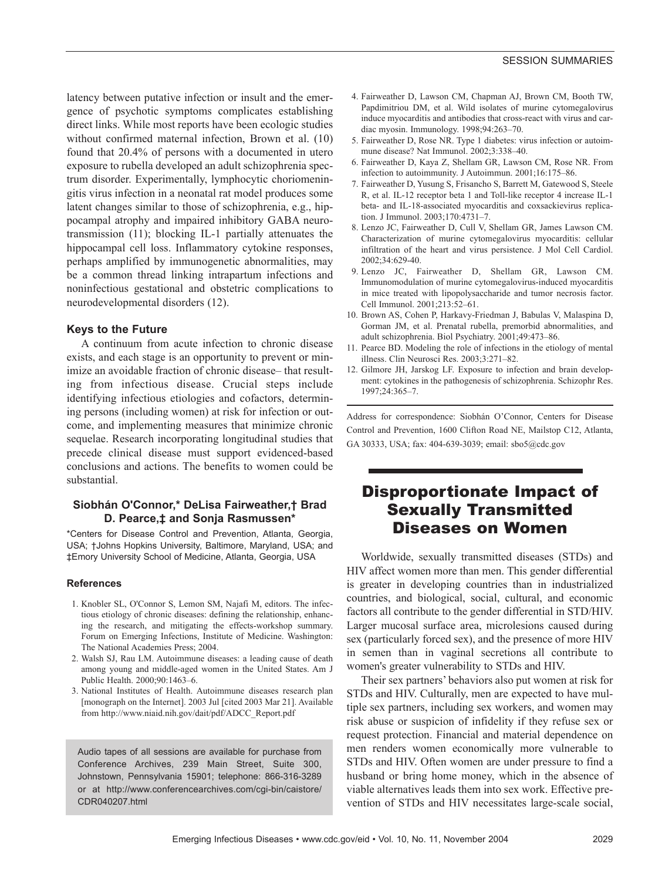latency between putative infection or insult and the emergence of psychotic symptoms complicates establishing direct links. While most reports have been ecologic studies without confirmed maternal infection, Brown et al. (10) found that 20.4% of persons with a documented in utero exposure to rubella developed an adult schizophrenia spectrum disorder. Experimentally, lymphocytic choriomeningitis virus infection in a neonatal rat model produces some latent changes similar to those of schizophrenia, e.g., hippocampal atrophy and impaired inhibitory GABA neurotransmission (11); blocking IL-1 partially attenuates the hippocampal cell loss. Inflammatory cytokine responses, perhaps amplified by immunogenetic abnormalities, may be a common thread linking intrapartum infections and noninfectious gestational and obstetric complications to neurodevelopmental disorders (12).

### **Keys to the Future**

A continuum from acute infection to chronic disease exists, and each stage is an opportunity to prevent or minimize an avoidable fraction of chronic disease– that resulting from infectious disease. Crucial steps include identifying infectious etiologies and cofactors, determining persons (including women) at risk for infection or outcome, and implementing measures that minimize chronic sequelae. Research incorporating longitudinal studies that precede clinical disease must support evidenced-based conclusions and actions. The benefits to women could be substantial.

### **Siobhán O'Connor,\* DeLisa Fairweather,† Brad D. Pearce,‡ and Sonja Rasmussen\***

\*Centers for Disease Control and Prevention, Atlanta, Georgia, USA; †Johns Hopkins University, Baltimore, Maryland, USA; and ‡Emory University School of Medicine, Atlanta, Georgia, USA

#### **References**

- 1. Knobler SL, O'Connor S, Lemon SM, Najafi M, editors. The infectious etiology of chronic diseases: defining the relationship, enhancing the research, and mitigating the effects-workshop summary. Forum on Emerging Infections, Institute of Medicine. Washington: The National Academies Press; 2004.
- 2. Walsh SJ, Rau LM. Autoimmune diseases: a leading cause of death among young and middle-aged women in the United States. Am J Public Health. 2000;90:1463–6.
- 3. National Institutes of Health. Autoimmune diseases research plan [monograph on the Internet]. 2003 Jul [cited 2003 Mar 21]. Available from http://www.niaid.nih.gov/dait/pdf/ADCC\_Report.pdf

Audio tapes of all sessions are available for purchase from Conference Archives, 239 Main Street, Suite 300, Johnstown, Pennsylvania 15901; telephone: 866-316-3289 or at http://www.conferencearchives.com/cgi-bin/caistore/ CDR040207.html

- 4. Fairweather D, Lawson CM, Chapman AJ, Brown CM, Booth TW, Papdimitriou DM, et al. Wild isolates of murine cytomegalovirus induce myocarditis and antibodies that cross-react with virus and cardiac myosin. Immunology. 1998;94:263–70.
- 5. Fairweather D, Rose NR. Type 1 diabetes: virus infection or autoimmune disease? Nat Immunol. 2002;3:338–40.
- 6. Fairweather D, Kaya Z, Shellam GR, Lawson CM, Rose NR. From infection to autoimmunity. J Autoimmun. 2001;16:175–86.
- 7. Fairweather D, Yusung S, Frisancho S, Barrett M, Gatewood S, Steele R, et al. IL-12 receptor beta 1 and Toll-like receptor 4 increase IL-1 beta- and IL-18-associated myocarditis and coxsackievirus replication. J Immunol. 2003;170:4731–7.
- 8. Lenzo JC, Fairweather D, Cull V, Shellam GR, James Lawson CM. Characterization of murine cytomegalovirus myocarditis: cellular infiltration of the heart and virus persistence. J Mol Cell Cardiol. 2002;34:629-40.
- 9. Lenzo JC, Fairweather D, Shellam GR, Lawson CM. Immunomodulation of murine cytomegalovirus-induced myocarditis in mice treated with lipopolysaccharide and tumor necrosis factor. Cell Immunol. 2001;213:52–61.
- 10. Brown AS, Cohen P, Harkavy-Friedman J, Babulas V, Malaspina D, Gorman JM, et al. Prenatal rubella, premorbid abnormalities, and adult schizophrenia. Biol Psychiatry. 2001;49:473–86.
- 11. Pearce BD. Modeling the role of infections in the etiology of mental illness. Clin Neurosci Res. 2003;3:271–82.
- 12. Gilmore JH, Jarskog LF. Exposure to infection and brain development: cytokines in the pathogenesis of schizophrenia. Schizophr Res.  $1997.24.365 - 7$

Address for correspondence: Siobhán O'Connor, Centers for Disease Control and Prevention, 1600 Clifton Road NE, Mailstop C12, Atlanta, GA 30333, USA; fax: 404-639-3039; email: sbo5@cdc.gov

## Disproportionate Impact of Sexually Transmitted Diseases on Women

Worldwide, sexually transmitted diseases (STDs) and HIV affect women more than men. This gender differential is greater in developing countries than in industrialized countries, and biological, social, cultural, and economic factors all contribute to the gender differential in STD/HIV. Larger mucosal surface area, microlesions caused during sex (particularly forced sex), and the presence of more HIV in semen than in vaginal secretions all contribute to women's greater vulnerability to STDs and HIV.

Their sex partners' behaviors also put women at risk for STDs and HIV. Culturally, men are expected to have multiple sex partners, including sex workers, and women may risk abuse or suspicion of infidelity if they refuse sex or request protection. Financial and material dependence on men renders women economically more vulnerable to STDs and HIV. Often women are under pressure to find a husband or bring home money, which in the absence of viable alternatives leads them into sex work. Effective prevention of STDs and HIV necessitates large-scale social,